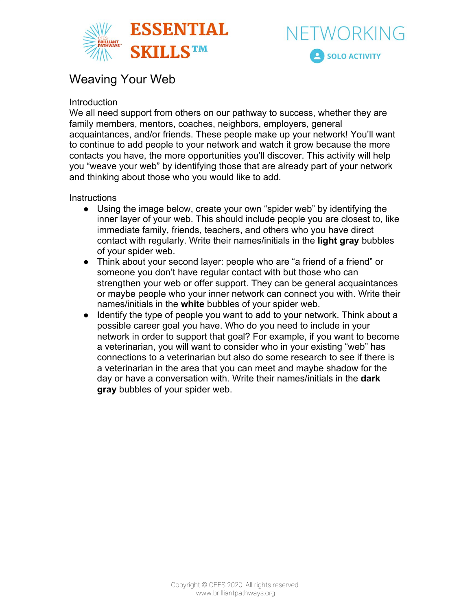



## Weaving Your Web

## Introduction

We all need support from others on our pathway to success, whether they are family members, mentors, coaches, neighbors, employers, general acquaintances, and/or friends. These people make up your network! You'll want to continue to add people to your network and watch it grow because the more contacts you have, the more opportunities you'll discover. This activity will help you "weave your web" by identifying those that are already part of your network and thinking about those who you would like to add.

## **Instructions**

- Using the image below, create your own "spider web" by identifying the inner layer of your web. This should include people you are closest to, like immediate family, friends, teachers, and others who you have direct contact with regularly. Write their names/initials in the **light gray** bubbles of your spider web.
- Think about your second layer: people who are "a friend of a friend" or someone you don't have regular contact with but those who can strengthen your web or offer support. They can be general acquaintances or maybe people who your inner network can connect you with. Write their names/initials in the **white** bubbles of your spider web.
- Identify the type of people you want to add to your network. Think about a possible career goal you have. Who do you need to include in your network in order to support that goal? For example, if you want to become a veterinarian, you will want to consider who in your existing "web" has connections to a veterinarian but also do some research to see if there is a veterinarian in the area that you can meet and maybe shadow for the day or have a conversation with. Write their names/initials in the **dark gray** bubbles of your spider web.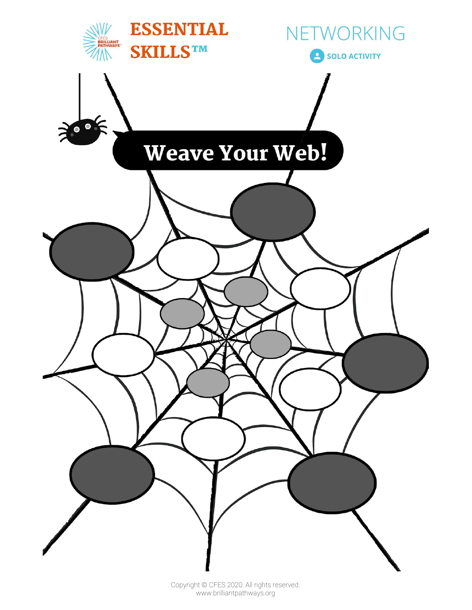